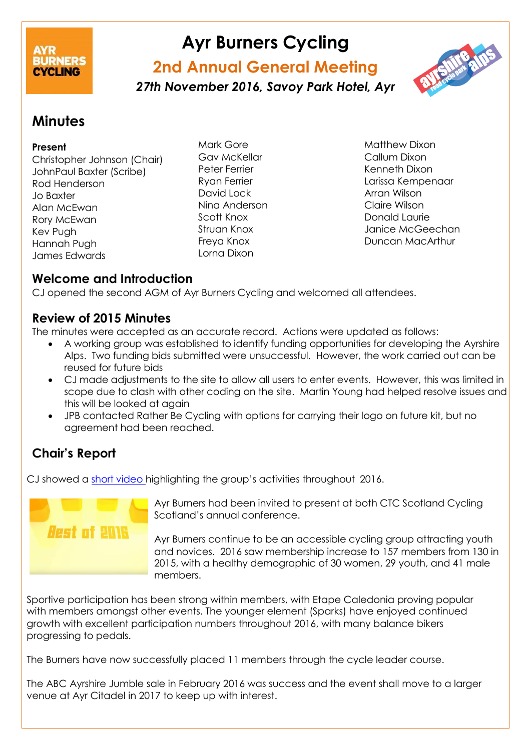# CYCLING

# **Ayr Burners Cycling**

# **2nd Annual General Meeting**

*27th November 2016, Savoy Park Hotel, Ayr*

# **Minutes**

#### **Present**

Christopher Johnson (Chair) JohnPaul Baxter (Scribe) Rod Henderson Jo Baxter Alan McEwan Rory McEwan Kev Pugh Hannah Pugh James Edwards

Mark Gore Gav McKellar Peter Ferrier Ryan Ferrier David Lock Nina Anderson Scott Knox Struan Knox Freya Knox Lorna Dixon

Matthew Dixon Callum Dixon Kenneth Dixon Larissa Kempenaar Arran Wilson Claire Wilson Donald Laurie Janice McGeechan Duncan MacArthur

# **Welcome and Introduction**

CJ opened the second AGM of Ayr Burners Cycling and welcomed all attendees.

## **Review of 2015 Minutes**

The minutes were accepted as an accurate record. Actions were updated as follows:

- A working group was established to identify funding opportunities for developing the Ayrshire Alps. Two funding bids submitted were unsuccessful. However, the work carried out can be reused for future bids
- CJ made adjustments to the site to allow all users to enter events. However, this was limited in scope due to clash with other coding on the site. Martin Young had helped resolve issues and this will be looked at again
- JPB contacted Rather Be Cycling with options for carrying their logo on future kit, but no agreement had been reached.

# **Chair's Report**

CJ showed a short [video](https://www.youtube.com/watch?v=qjOdAQ-qJSQ) highlighting the group's activities throughout 2016.



Ayr Burners had been invited to present at both CTC Scotland Cycling Scotland's annual conference.

Ayr Burners continue to be an accessible cycling group attracting youth and novices. 2016 saw membership increase to 157 members from 130 in 2015, with a healthy demographic of 30 women, 29 youth, and 41 male members.

Sportive participation has been strong within members, with Etape Caledonia proving popular with members amongst other events. The younger element (Sparks) have enjoyed continued growth with excellent participation numbers throughout 2016, with many balance bikers progressing to pedals.

The Burners have now successfully placed 11 members through the cycle leader course.

The ABC Ayrshire Jumble sale in February 2016 was success and the event shall move to a larger venue at Ayr Citadel in 2017 to keep up with interest.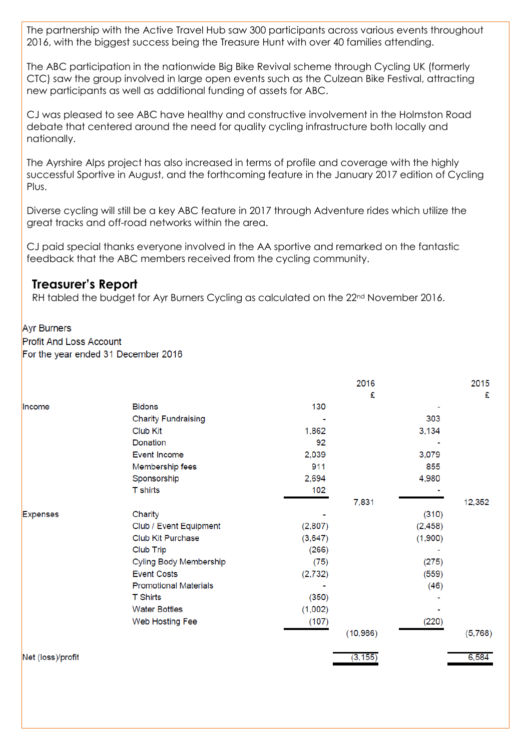The partnership with the Active Travel Hub saw 300 participants across various events throughout 2016, with the biggest success being the Treasure Hunt with over 40 families attending.

The ABC participation in the nationwide Big Bike Revival scheme through Cycling UK (formerly CTC) saw the group involved in large open events such as the Culzean Bike Festival, attracting new participants as well as additional funding of assets for ABC.

CJ was pleased to see ABC have healthy and constructive involvement in the Holmston Road debate that centered around the need for quality cycling infrastructure both locally and nationally.

The Ayrshire Alps project has also increased in terms of profile and coverage with the highly successful Sportive in August, and the forthcoming feature in the January 2017 edition of Cycling Plus.

Diverse cycling will still be a key ABC feature in 2017 through Adventure rides which utilize the great tracks and off-road networks within the area.

CJ paid special thanks everyone involved in the AA sportive and remarked on the fantastic feedback that the ABC members received from the cycling community.

#### **Treasurer's Report**

RH tabled the budget for Ayr Burners Cycling as calculated on the  $22<sup>nd</sup>$  November 2016.

#### **Ayr Burners**

**Profit And Loss Account** 

For the year ended 31 December 2016

|                   |                              |          | 2016      |          | 2015    |
|-------------------|------------------------------|----------|-----------|----------|---------|
|                   |                              |          | £         |          | £       |
| Income            | <b>Bidons</b>                | 130      |           |          |         |
|                   | <b>Charity Fundraising</b>   |          |           | 303      |         |
|                   | Club Kit                     | 1,862    |           | 3,134    |         |
|                   | Donation                     | 92       |           |          |         |
|                   | <b>Event Income</b>          | 2,039    |           | 3,079    |         |
|                   | Membership fees              | 911      |           | 855      |         |
|                   | Sponsorship                  | 2,694    |           | 4,980    |         |
|                   | <b>T</b> shirts              | 102      |           |          |         |
|                   |                              |          | 7,831     |          | 12,352  |
| <b>Expenses</b>   | Charity                      |          |           | (310)    |         |
|                   | Club / Event Equipment       | (2,807)  |           | (2, 458) |         |
|                   | Club Kit Purchase            | (3,647)  |           | (1,900)  |         |
|                   | Club Trip                    | (266)    |           |          |         |
|                   | Cyling Body Membership       | (75)     |           | (275)    |         |
|                   | <b>Event Costs</b>           | (2, 732) |           | (559)    |         |
|                   | <b>Promotional Materials</b> |          |           | (46)     |         |
|                   | <b>T</b> Shirts              | (350)    |           |          |         |
|                   | <b>Water Bottles</b>         | (1,002)  |           |          |         |
|                   | Web Hosting Fee              | (107)    |           | (220)    |         |
|                   |                              |          | (10, 986) |          | (5,768) |
| Net (loss)/profit |                              |          | (3, 155)  |          | 6,584   |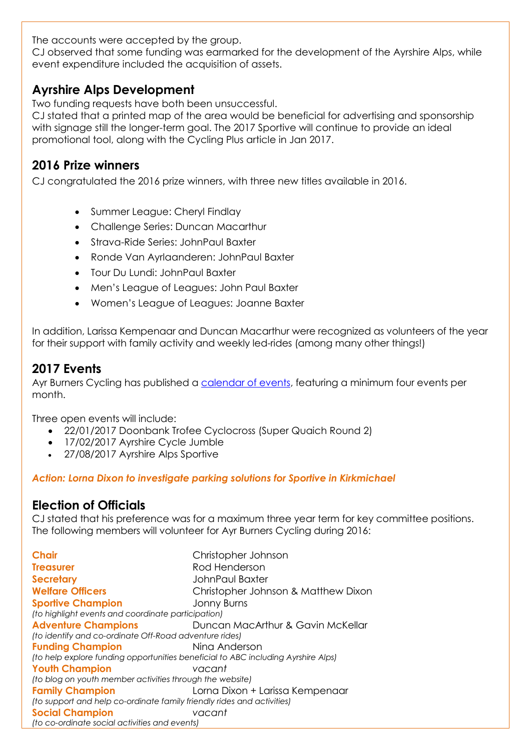The accounts were accepted by the group.

CJ observed that some funding was earmarked for the development of the Ayrshire Alps, while event expenditure included the acquisition of assets.

## **Ayrshire Alps Development**

Two funding requests have both been unsuccessful.

CJ stated that a printed map of the area would be beneficial for advertising and sponsorship with signage still the longer-term goal. The 2017 Sportive will continue to provide an ideal promotional tool, along with the Cycling Plus article in Jan 2017.

# **2016 Prize winners**

CJ congratulated the 2016 prize winners, with three new titles available in 2016.

- Summer League: Cheryl Findlay
- Challenge Series: Duncan Macarthur
- Strava-Ride Series: JohnPaul Baxter
- Ronde Van Ayrlaanderen: JohnPaul Baxter
- Tour Du Lundi: JohnPaul Baxter
- Men's League of Leagues: John Paul Baxter
- Women's League of Leagues: Joanne Baxter

In addition, Larissa Kempenaar and Duncan Macarthur were recognized as volunteers of the year for their support with family activity and weekly led-rides (among many other things!)

# **2017 Events**

Ayr Burners Cycling has published a [calendar of events,](http://www.ayrburners.org/2017-calendar-released/) featuring a minimum four events per month.

Three open events will include:

- 22/01/2017 Doonbank Trofee Cyclocross (Super Quaich Round 2)
- 17/02/2017 Ayrshire Cycle Jumble
- 27/08/2017 Ayrshire Alps Sportive

#### *Action: Lorna Dixon to investigate parking solutions for Sportive in Kirkmichael*

## **Election of Officials**

CJ stated that his preference was for a maximum three year term for key committee positions. The following members will volunteer for Ayr Burners Cycling during 2016:

**Chair Treasurer Secretary Welfare Officers Sportive Champion** Christopher Johnson Rod Henderson JohnPaul Baxter Christopher Johnson & Matthew Dixon Jonny Burns *(to highlight events and coordinate participation)* **Adventure Champions Duncan MacArthur & Gavin McKellar** *(to identify and co-ordinate Off-Road adventure rides)* **Funding Champion** Nina Anderson *(to help explore funding opportunities beneficial to ABC including Ayrshire Alps)* **Youth Champion** *vacant (to blog on youth member activities through the website)* **Family Champion** Lorna Dixon + Larissa Kempenaar *(to support and help co-ordinate family friendly rides and activities)* **Social Champion** *vacant (to co-ordinate social activities and events)*